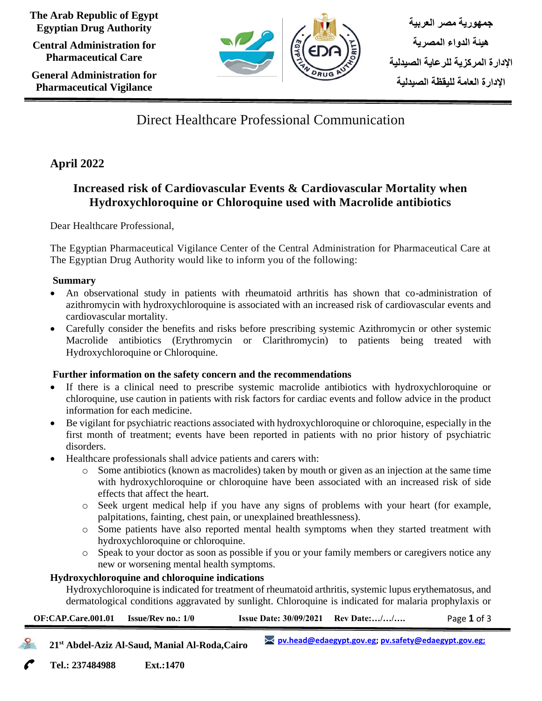**The Arab Republic of Egypt Egyptian Drug Authority**

**Central Administration for Pharmaceutical Care**

**General Administration for Pharmaceutical Vigilance**



**جمهورية مصر العربية هيئة الدواء المصرية اإلدارة المركزية للرعاية الصيدلية اإلدارة العامة لليقظة الصيدلية** 

# Direct Healthcare Professional Communication

# **April 2022**

# **Increased risk of Cardiovascular Events & Cardiovascular Mortality when Hydroxychloroquine or Chloroquine used with Macrolide antibiotics**

Dear Healthcare Professional,

The Egyptian Pharmaceutical Vigilance Center of the Central Administration for Pharmaceutical Care at The Egyptian Drug Authority would like to inform you of the following:

# **Summary**

- An observational study in patients with rheumatoid arthritis has shown that co-administration of azithromycin with hydroxychloroquine is associated with an increased risk of cardiovascular events and cardiovascular mortality.
- Carefully consider the benefits and risks before prescribing systemic Azithromycin or other systemic Macrolide antibiotics (Erythromycin or Clarithromycin) to patients being treated with Hydroxychloroquine or Chloroquine.

# **Further information on the safety concern and the recommendations**

- If there is a clinical need to prescribe systemic macrolide antibiotics with hydroxychloroquine or chloroquine, use caution in patients with risk factors for cardiac events and follow advice in the product information for each medicine.
- Be vigilant for psychiatric reactions associated with hydroxychloroquine or chloroquine, especially in the first month of treatment; events have been reported in patients with no prior history of psychiatric disorders.
- Healthcare professionals shall advice patients and carers with:
	- o Some antibiotics (known as macrolides) taken by mouth or given as an injection at the same time with hydroxychloroquine or chloroquine have been associated with an increased risk of side effects that affect the heart.
	- o Seek urgent medical help if you have any signs of problems with your heart (for example, palpitations, fainting, chest pain, or unexplained breathlessness).
	- o Some patients have also reported mental health symptoms when they started treatment with hydroxychloroquine or chloroquine.
	- o Speak to your doctor as soon as possible if you or your family members or caregivers notice any new or worsening mental health symptoms.

# **Hydroxychloroquine and chloroquine indications**

Hydroxychloroquine is indicated for treatment of rheumatoid arthritis, systemic lupus erythematosus, and dermatological conditions aggravated by sunlight. Chloroquine is indicated for malaria prophylaxis or

| $OF:CAP.Care.001.01$ Issue/Rev no.: 1/0 | <b>Issue Date: <math>30/09/2021</math> Rev Date://</b> | Page 1 of 3 |
|-----------------------------------------|--------------------------------------------------------|-------------|
|                                         |                                                        |             |

 **21st Abdel-Aziz Al-Saud, Manial Al-Roda,Cairo [pv.head@edaegypt.gov.eg;](mailto:pv.head@edaegypt.gov.eg) [pv.safety@edaegypt.gov.eg;](mailto:pv.safety@edaegypt.gov.eg;)**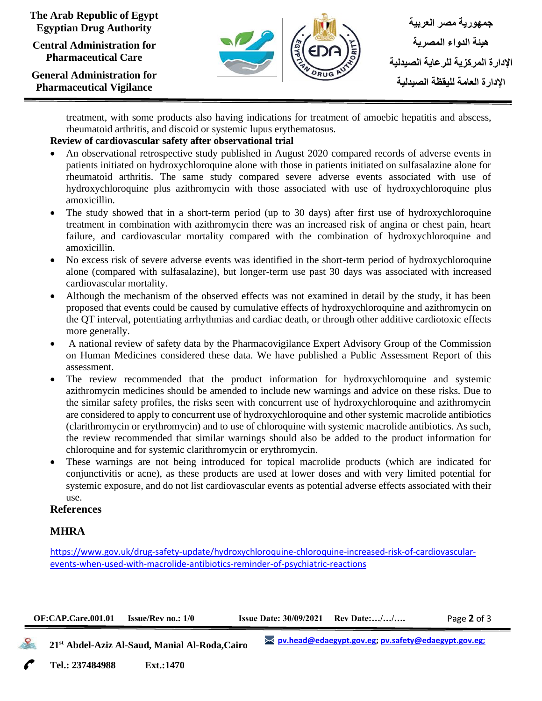#### **The Arab Republic of Egypt Egyptian Drug Authority**

**Central Administration for Pharmaceutical Care**

**General Administration for Pharmaceutical Vigilance**



treatment, with some products also having indications for treatment of amoebic hepatitis and abscess, rheumatoid arthritis, and discoid or systemic lupus erythematosus.

## **Review of cardiovascular safety after observational trial**

- An observational retrospective study published in August 2020 compared records of adverse events in patients initiated on hydroxychloroquine alone with those in patients initiated on sulfasalazine alone for rheumatoid arthritis. The same study compared severe adverse events associated with use of hydroxychloroquine plus azithromycin with those associated with use of hydroxychloroquine plus amoxicillin.
- The study showed that in a short-term period (up to 30 days) after first use of hydroxychloroquine treatment in combination with azithromycin there was an increased risk of angina or chest pain, heart failure, and cardiovascular mortality compared with the combination of hydroxychloroquine and amoxicillin.
- No excess risk of severe adverse events was identified in the short-term period of hydroxychloroquine alone (compared with sulfasalazine), but longer-term use past 30 days was associated with increased cardiovascular mortality.
- Although the mechanism of the observed effects was not examined in detail by the study, it has been proposed that events could be caused by cumulative effects of hydroxychloroquine and azithromycin on the QT interval, potentiating arrhythmias and cardiac death, or through other additive cardiotoxic effects more generally.
- A national review of safety data by the Pharmacovigilance Expert Advisory Group of the Commission on Human Medicines considered these data. We have published a Public Assessment Report of this assessment.
- The review recommended that the product information for hydroxychloroquine and systemic azithromycin medicines should be amended to include new warnings and advice on these risks. Due to the similar safety profiles, the risks seen with concurrent use of hydroxychloroquine and azithromycin are considered to apply to concurrent use of hydroxychloroquine and other systemic macrolide antibiotics (clarithromycin or erythromycin) and to use of chloroquine with systemic macrolide antibiotics. As such, the review recommended that similar warnings should also be added to the product information for chloroquine and for systemic clarithromycin or erythromycin.
- These warnings are not being introduced for topical macrolide products (which are indicated for conjunctivitis or acne), as these products are used at lower doses and with very limited potential for systemic exposure, and do not list cardiovascular events as potential adverse effects associated with their use.

#### **References**

### **MHRA**

[https://www.gov.uk/drug-safety-update/hydroxychloroquine-chloroquine-increased-risk-of-cardiovascular](https://www.gov.uk/drug-safety-update/hydroxychloroquine-chloroquine-increased-risk-of-cardiovascular-events-when-used-with-macrolide-antibiotics-reminder-of-psychiatric-reactions)[events-when-used-with-macrolide-antibiotics-reminder-of-psychiatric-reactions](https://www.gov.uk/drug-safety-update/hydroxychloroquine-chloroquine-increased-risk-of-cardiovascular-events-when-used-with-macrolide-antibiotics-reminder-of-psychiatric-reactions)

| $OF: CAP.Care.001.01$ Issue/Rev no.: $1/0$ | <b>Issue Date: <math>30/09/2021</math> Rev Date://</b> | Page 2 of 3 |
|--------------------------------------------|--------------------------------------------------------|-------------|
|                                            |                                                        |             |

 **21st Abdel-Aziz Al-Saud, Manial Al-Roda,Cairo**